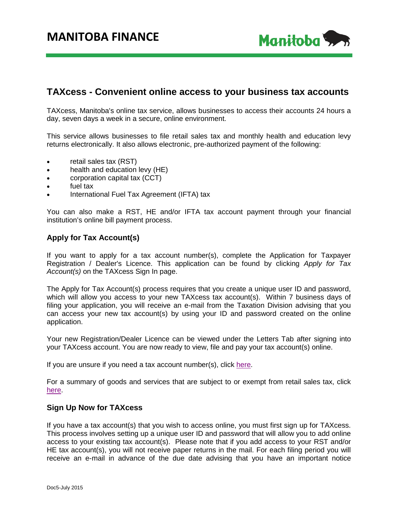

## **TAXcess - Convenient online access to your business tax accounts**

TAXcess, Manitoba's online tax service, allows businesses to access their accounts 24 hours a day, seven days a week in a secure, online environment.

This service allows businesses to file retail sales tax and monthly health and education levy returns electronically. It also allows electronic, pre-authorized payment of the following:

- retail sales tax (RST)
- health and education levy (HE)
- corporation capital tax (CCT)
- fuel tax
- International Fuel Tax Agreement (IFTA) tax

You can also make a RST, HE and/or IFTA tax account payment through your financial institution's online bill payment process.

## **Apply for Tax Account(s)**

If you want to apply for a tax account number(s), complete the Application for Taxpayer Registration / Dealer's Licence. This application can be found by clicking *Apply for Tax Account(s)* on the TAXcess Sign In page.

The Apply for Tax Account(s) process requires that you create a unique user ID and password, which will allow you access to your new TAXcess tax account(s). Within 7 business days of filing your application, you will receive an e-mail from the Taxation Division advising that you can access your new tax account(s) by using your ID and password created on the online application.

Your new Registration/Dealer Licence can be viewed under the Letters Tab after signing into your TAXcess account. You are now ready to view, file and pay your tax account(s) online.

If you are unsure if you need a tax account number(s), click [here.](http://www.gov.mb.ca/finance/taxation/pubs/bulletins/register.pdf)

For a summary of goods and services that are subject to or exempt from retail sales tax, click [here.](http://www.gov.mb.ca/finance/taxation/pubs/bulletins/030.pdf)

## **Sign Up Now for TAXcess**

If you have a tax account(s) that you wish to access online, you must first sign up for TAXcess. This process involves setting up a unique user ID and password that will allow you to add online access to your existing tax account(s). Please note that if you add access to your RST and/or HE tax account(s), you will not receive paper returns in the mail. For each filing period you will receive an e-mail in advance of the due date advising that you have an important notice